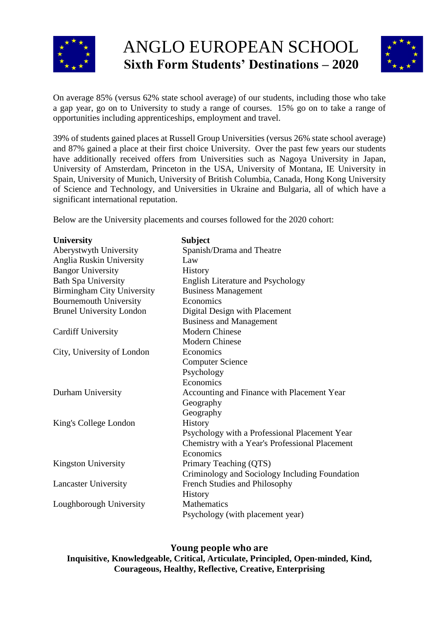



On average 85% (versus 62% state school average) of our students, including those who take a gap year, go on to University to study a range of courses. 15% go on to take a range of opportunities including apprenticeships, employment and travel.

39% of students gained places at Russell Group Universities (versus 26% state school average) and 87% gained a place at their first choice University. Over the past few years our students have additionally received offers from Universities such as Nagoya University in Japan, University of Amsterdam, Princeton in the USA, University of Montana, IE University in Spain, University of Munich, University of British Columbia, Canada, Hong Kong University of Science and Technology, and Universities in Ukraine and Bulgaria, all of which have a significant international reputation.

Below are the University placements and courses followed for the 2020 cohort:

| <b>University</b>                 | <b>Subject</b>                                 |
|-----------------------------------|------------------------------------------------|
| Aberystwyth University            | Spanish/Drama and Theatre                      |
| Anglia Ruskin University          | Law                                            |
| <b>Bangor University</b>          | <b>History</b>                                 |
| <b>Bath Spa University</b>        | English Literature and Psychology              |
| <b>Birmingham City University</b> | <b>Business Management</b>                     |
| <b>Bournemouth University</b>     | Economics                                      |
| <b>Brunel University London</b>   | Digital Design with Placement                  |
|                                   | <b>Business and Management</b>                 |
| <b>Cardiff University</b>         | <b>Modern Chinese</b>                          |
|                                   | <b>Modern Chinese</b>                          |
| City, University of London        | Economics                                      |
|                                   | <b>Computer Science</b>                        |
|                                   | Psychology                                     |
|                                   | Economics                                      |
| Durham University                 | Accounting and Finance with Placement Year     |
|                                   | Geography                                      |
|                                   | Geography                                      |
| King's College London             | History                                        |
|                                   | Psychology with a Professional Placement Year  |
|                                   | Chemistry with a Year's Professional Placement |
|                                   | Economics                                      |
| <b>Kingston University</b>        | Primary Teaching (QTS)                         |
|                                   | Criminology and Sociology Including Foundation |
| <b>Lancaster University</b>       | French Studies and Philosophy                  |
|                                   | History                                        |
| Loughborough University           | <b>Mathematics</b>                             |
|                                   | Psychology (with placement year)               |

**Young people who are Inquisitive, Knowledgeable, Critical, Articulate, Principled, Open-minded, Kind, Courageous, Healthy, Reflective, Creative, Enterprising**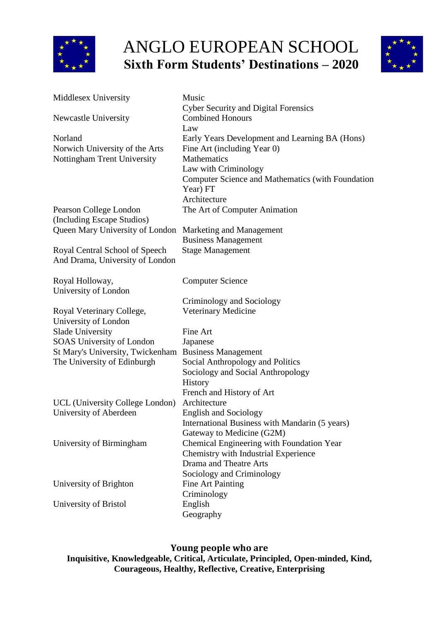



| Middlesex University                                                     | Music                                                                                                                                                                            |
|--------------------------------------------------------------------------|----------------------------------------------------------------------------------------------------------------------------------------------------------------------------------|
| Newcastle University                                                     | <b>Cyber Security and Digital Forensics</b><br><b>Combined Honours</b><br>Law                                                                                                    |
| Norland<br>Norwich University of the Arts<br>Nottingham Trent University | Early Years Development and Learning BA (Hons)<br>Fine Art (including Year 0)<br><b>Mathematics</b><br>Law with Criminology<br>Computer Science and Mathematics (with Foundation |
|                                                                          | Year) FT                                                                                                                                                                         |
| Pearson College London                                                   | Architecture<br>The Art of Computer Animation                                                                                                                                    |
| (Including Escape Studios)                                               |                                                                                                                                                                                  |
| Queen Mary University of London Marketing and Management                 |                                                                                                                                                                                  |
|                                                                          | <b>Business Management</b>                                                                                                                                                       |
| Royal Central School of Speech<br>And Drama, University of London        | <b>Stage Management</b>                                                                                                                                                          |
| Royal Holloway,                                                          | <b>Computer Science</b>                                                                                                                                                          |
| University of London                                                     |                                                                                                                                                                                  |
|                                                                          | Criminology and Sociology                                                                                                                                                        |
| Royal Veterinary College,                                                | Veterinary Medicine                                                                                                                                                              |
| University of London                                                     |                                                                                                                                                                                  |
| Slade University                                                         | Fine Art                                                                                                                                                                         |
| SOAS University of London                                                | Japanese                                                                                                                                                                         |
| St Mary's University, Twickenham                                         | <b>Business Management</b>                                                                                                                                                       |
| The University of Edinburgh                                              | Social Anthropology and Politics                                                                                                                                                 |
|                                                                          | Sociology and Social Anthropology                                                                                                                                                |
|                                                                          | History                                                                                                                                                                          |
|                                                                          | French and History of Art                                                                                                                                                        |
| UCL (University College London)                                          | Architecture                                                                                                                                                                     |
| University of Aberdeen                                                   | <b>English and Sociology</b>                                                                                                                                                     |
|                                                                          | International Business with Mandarin (5 years)                                                                                                                                   |
|                                                                          | Gateway to Medicine (G2M)                                                                                                                                                        |
| University of Birmingham                                                 | Chemical Engineering with Foundation Year                                                                                                                                        |
|                                                                          | Chemistry with Industrial Experience                                                                                                                                             |
|                                                                          | Drama and Theatre Arts                                                                                                                                                           |
|                                                                          | Sociology and Criminology                                                                                                                                                        |
| University of Brighton                                                   | <b>Fine Art Painting</b>                                                                                                                                                         |
|                                                                          | Criminology                                                                                                                                                                      |
| University of Bristol                                                    | English                                                                                                                                                                          |
|                                                                          | Geography                                                                                                                                                                        |

**Young people who are Inquisitive, Knowledgeable, Critical, Articulate, Principled, Open-minded, Kind, Courageous, Healthy, Reflective, Creative, Enterprising**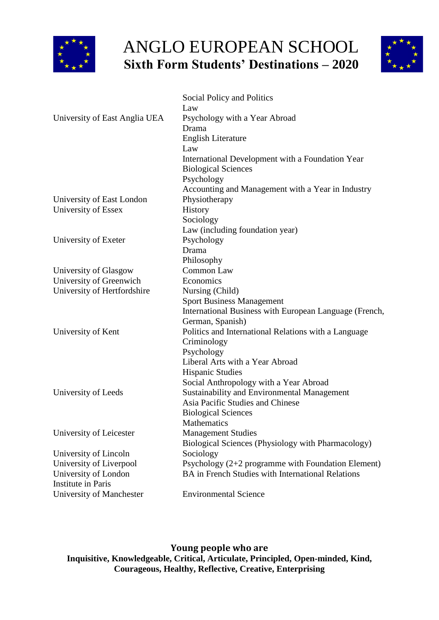



|                               | Social Policy and Politics                               |
|-------------------------------|----------------------------------------------------------|
|                               | Law                                                      |
| University of East Anglia UEA | Psychology with a Year Abroad                            |
|                               | Drama                                                    |
|                               | English Literature                                       |
|                               | Law                                                      |
|                               | International Development with a Foundation Year         |
|                               | <b>Biological Sciences</b>                               |
|                               | Psychology                                               |
|                               | Accounting and Management with a Year in Industry        |
| University of East London     | Physiotherapy                                            |
| University of Essex           | History                                                  |
|                               | Sociology                                                |
|                               | Law (including foundation year)                          |
| University of Exeter          | Psychology                                               |
|                               | Drama                                                    |
|                               | Philosophy                                               |
| University of Glasgow         | Common Law                                               |
| University of Greenwich       | Economics                                                |
| University of Hertfordshire   | Nursing (Child)                                          |
|                               | <b>Sport Business Management</b>                         |
|                               | International Business with European Language (French,   |
|                               | German, Spanish)                                         |
| University of Kent            | Politics and International Relations with a Language     |
|                               | Criminology                                              |
|                               | Psychology                                               |
|                               | Liberal Arts with a Year Abroad                          |
|                               | <b>Hispanic Studies</b>                                  |
|                               | Social Anthropology with a Year Abroad                   |
| University of Leeds           | Sustainability and Environmental Management              |
|                               | Asia Pacific Studies and Chinese                         |
|                               | <b>Biological Sciences</b>                               |
|                               | Mathematics                                              |
| University of Leicester       | <b>Management Studies</b>                                |
|                               | Biological Sciences (Physiology with Pharmacology)       |
| University of Lincoln         | Sociology                                                |
| University of Liverpool       | Psychology $(2+2)$ programme with Foundation Element)    |
| University of London          | <b>BA</b> in French Studies with International Relations |
| <b>Institute in Paris</b>     |                                                          |
| University of Manchester      | <b>Environmental Science</b>                             |

**Young people who are Inquisitive, Knowledgeable, Critical, Articulate, Principled, Open-minded, Kind, Courageous, Healthy, Reflective, Creative, Enterprising**